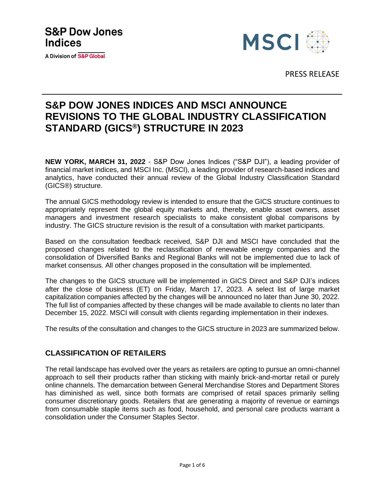# **S&P Dow Jones Indices**

**A Division of S&P Global** 



PRESS RELEASE

## **S&P DOW JONES INDICES AND MSCI ANNOUNCE REVISIONS TO THE GLOBAL INDUSTRY CLASSIFICATION STANDARD (GICS®) STRUCTURE IN 2023**

**NEW YORK, MARCH 31, 2022** - S&P Dow Jones Indices ("S&P DJI"), a leading provider of financial market indices, and MSCI Inc. (MSCI), a leading provider of research-based indices and analytics, have conducted their annual review of the Global Industry Classification Standard (GICS®) structure.

The annual GICS methodology review is intended to ensure that the GICS structure continues to appropriately represent the global equity markets and, thereby, enable asset owners, asset managers and investment research specialists to make consistent global comparisons by industry. The GICS structure revision is the result of a consultation with market participants.

Based on the consultation feedback received, S&P DJI and MSCI have concluded that the proposed changes related to the reclassification of renewable energy companies and the consolidation of Diversified Banks and Regional Banks will not be implemented due to lack of market consensus. All other changes proposed in the consultation will be implemented.

The changes to the GICS structure will be implemented in GICS Direct and S&P DJI's indices after the close of business (ET) on Friday, March 17, 2023. A select list of large market capitalization companies affected by the changes will be announced no later than June 30, 2022. The full list of companies affected by these changes will be made available to clients no later than December 15, 2022. MSCI will consult with clients regarding implementation in their indexes.

The results of the consultation and changes to the GICS structure in 2023 are summarized below.

### **CLASSIFICATION OF RETAILERS**

The retail landscape has evolved over the years as retailers are opting to pursue an omni-channel approach to sell their products rather than sticking with mainly brick-and-mortar retail or purely online channels. The demarcation between General Merchandise Stores and Department Stores has diminished as well, since both formats are comprised of retail spaces primarily selling consumer discretionary goods. Retailers that are generating a majority of revenue or earnings from consumable staple items such as food, household, and personal care products warrant a consolidation under the Consumer Staples Sector.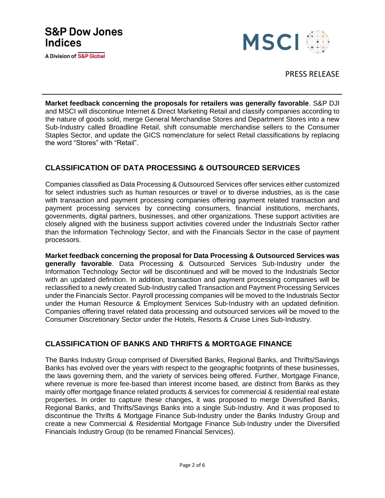

**Market feedback concerning the proposals for retailers was generally favorable**. S&P DJI and MSCI will discontinue Internet & Direct Marketing Retail and classify companies according to the nature of goods sold, merge General Merchandise Stores and Department Stores into a new Sub-Industry called Broadline Retail, shift consumable merchandise sellers to the Consumer Staples Sector, and update the GICS nomenclature for select Retail classifications by replacing the word "Stores" with "Retail".

### **CLASSIFICATION OF DATA PROCESSING & OUTSOURCED SERVICES**

Companies classified as Data Processing & Outsourced Services offer services either customized for select industries such as human resources or travel or to diverse industries, as is the case with transaction and payment processing companies offering payment related transaction and payment processing services by connecting consumers, financial institutions, merchants, governments, digital partners, businesses, and other organizations. These support activities are closely aligned with the business support activities covered under the Industrials Sector rather than the Information Technology Sector, and with the Financials Sector in the case of payment processors.

**Market feedback concerning the proposal for Data Processing & Outsourced Services was generally favorable**. Data Processing & Outsourced Services Sub-Industry under the Information Technology Sector will be discontinued and will be moved to the Industrials Sector with an updated definition. In addition, transaction and payment processing companies will be reclassified to a newly created Sub-Industry called Transaction and Payment Processing Services under the Financials Sector. Payroll processing companies will be moved to the Industrials Sector under the Human Resource & Employment Services Sub-Industry with an updated definition. Companies offering travel related data processing and outsourced services will be moved to the Consumer Discretionary Sector under the Hotels, Resorts & Cruise Lines Sub-Industry.

### **CLASSIFICATION OF BANKS AND THRIFTS & MORTGAGE FINANCE**

The Banks Industry Group comprised of Diversified Banks, Regional Banks, and Thrifts/Savings Banks has evolved over the years with respect to the geographic footprints of these businesses, the laws governing them, and the variety of services being offered. Further, Mortgage Finance, where revenue is more fee-based than interest income based, are distinct from Banks as they mainly offer mortgage finance related products & services for commercial & residential real estate properties. In order to capture these changes, it was proposed to merge Diversified Banks, Regional Banks, and Thrifts/Savings Banks into a single Sub-Industry. And it was proposed to discontinue the Thrifts & Mortgage Finance Sub-Industry under the Banks Industry Group and create a new Commercial & Residential Mortgage Finance Sub-Industry under the Diversified Financials Industry Group (to be renamed Financial Services).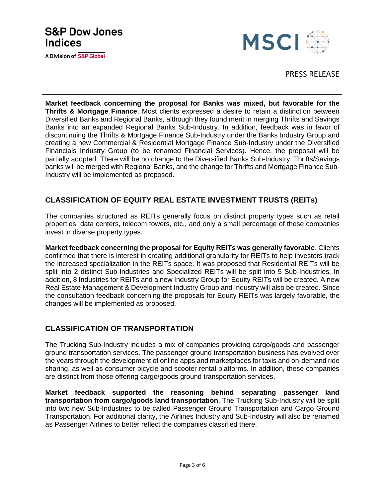## **S&P Dow Jones Indices**

A Division of S&P Global



PRESS RELEASE

**Market feedback concerning the proposal for Banks was mixed, but favorable for the Thrifts & Mortgage Finance**. Most clients expressed a desire to retain a distinction between Diversified Banks and Regional Banks, although they found merit in merging Thrifts and Savings Banks into an expanded Regional Banks Sub-Industry. In addition, feedback was in favor of discontinuing the Thrifts & Mortgage Finance Sub-Industry under the Banks Industry Group and creating a new Commercial & Residential Mortgage Finance Sub-Industry under the Diversified Financials Industry Group (to be renamed Financial Services). Hence, the proposal will be partially adopted. There will be no change to the Diversified Banks Sub-Industry, Thrifts/Savings banks will be merged with Regional Banks, and the change for Thrifts and Mortgage Finance Sub-Industry will be implemented as proposed.

### **CLASSIFICATION OF EQUITY REAL ESTATE INVESTMENT TRUSTS (REITs)**

The companies structured as REITs generally focus on distinct property types such as retail properties, data centers, telecom towers, etc., and only a small percentage of these companies invest in diverse property types.

**Market feedback concerning the proposal for Equity REITs was generally favorable**. Clients confirmed that there is interest in creating additional granularity for REITs to help investors track the increased specialization in the REITs space. It was proposed that Residential REITs will be split into 2 distinct Sub-Industries and Specialized REITs will be split into 5 Sub-Industries. In addition, 8 Industries for REITs and a new Industry Group for Equity REITs will be created. A new Real Estate Management & Development Industry Group and Industry will also be created. Since the consultation feedback concerning the proposals for Equity REITs was largely favorable, the changes will be implemented as proposed.

### **CLASSIFICATION OF TRANSPORTATION**

The Trucking Sub-Industry includes a mix of companies providing cargo/goods and passenger ground transportation services. The passenger ground transportation business has evolved over the years through the development of online apps and marketplaces for taxis and on-demand ride sharing, as well as consumer bicycle and scooter rental platforms. In addition, these companies are distinct from those offering cargo/goods ground transportation services.

**Market feedback supported the reasoning behind separating passenger land transportation from cargo/goods land transportation**. The Trucking Sub-Industry will be split into two new Sub-Industries to be called Passenger Ground Transportation and Cargo Ground Transportation. For additional clarity, the Airlines Industry and Sub-Industry will also be renamed as Passenger Airlines to better reflect the companies classified there.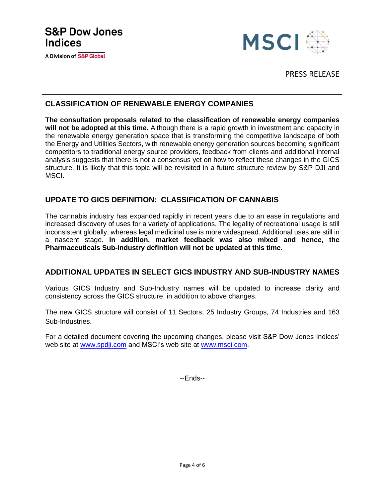

PRESS RELEASE

### **CLASSIFICATION OF RENEWABLE ENERGY COMPANIES**

**The consultation proposals related to the classification of renewable energy companies will not be adopted at this time.** Although there is a rapid growth in investment and capacity in the renewable energy generation space that is transforming the competitive landscape of both the Energy and Utilities Sectors, with renewable energy generation sources becoming significant competitors to traditional energy source providers, feedback from clients and additional internal analysis suggests that there is not a consensus yet on how to reflect these changes in the GICS structure. It is likely that this topic will be revisited in a future structure review by S&P DJI and MSCI.

### **UPDATE TO GICS DEFINITION: CLASSIFICATION OF CANNABIS**

The cannabis industry has expanded rapidly in recent years due to an ease in regulations and increased discovery of uses for a variety of applications. The legality of recreational usage is still inconsistent globally, whereas legal medicinal use is more widespread. Additional uses are still in a nascent stage. **In addition, market feedback was also mixed and hence, the Pharmaceuticals Sub-Industry definition will not be updated at this time.**

### **ADDITIONAL UPDATES IN SELECT GICS INDUSTRY AND SUB-INDUSTRY NAMES**

Various GICS Industry and Sub-Industry names will be updated to increase clarity and consistency across the GICS structure, in addition to above changes.

The new GICS structure will consist of 11 Sectors, 25 Industry Groups, 74 Industries and 163 Sub-Industries.

For a detailed document covering the upcoming changes, please visit S&P Dow Jones Indices' web site at [www.spdji.com](http://www.spdji.com/) and MSCI's web site at www.msci.com.

--Ends--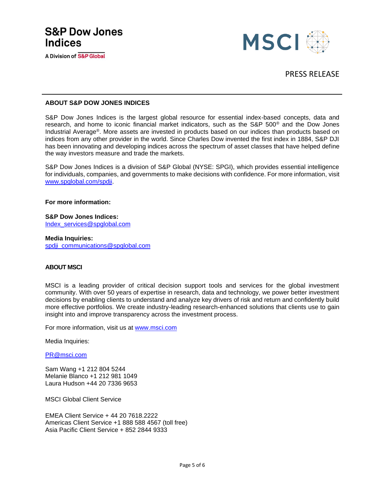

#### **ABOUT S&P DOW JONES INDICES**

S&P Dow Jones Indices is the largest global resource for essential index-based concepts, data and research, and home to iconic financial market indicators, such as the S&P 500® and the Dow Jones Industrial Average®. More assets are invested in products based on our indices than products based on indices from any other provider in the world. Since Charles Dow invented the first index in 1884, S&P DJI has been innovating and developing indices across the spectrum of asset classes that have helped define the way investors measure and trade the markets.

S&P Dow Jones Indices is a division of S&P Global (NYSE: SPGI), which provides essential intelligence for individuals, companies, and governments to make decisions with confidence. For more information, visit [www.spglobal.com/spdji.](https://spgl.sharepoint.com/sites/IMPGGICSHub/Shared%20Documents/GICS%20Administration/2021%20GICS%20Consultation/Announcements%20&%20other%20notice%20drafts/www.spglobal.com/spdji)

**For more information:** 

**S&P Dow Jones Indices:** [Index\\_services@spglobal.com](mailto:Index_services@spglobal.com)

**Media Inquiries:** [spdji\\_communications@spglobal.com](mailto:spdji_communications@spglobal.com)

#### **ABOUT MSCI**

MSCI is a leading provider of critical decision support tools and services for the global investment community. With over 50 years of expertise in research, data and technology, we power better investment decisions by enabling clients to understand and analyze key drivers of risk and return and confidently build more effective portfolios. We create industry-leading research-enhanced solutions that clients use to gain insight into and improve transparency across the investment process.

For more information, visit us at [www.msci.com](http://www.msci.com/)

Media Inquiries:

[PR@msci.com](mailto:PR@msci.com)

Sam Wang +1 212 804 5244 Melanie Blanco +1 212 981 1049 Laura Hudson +44 20 7336 9653

MSCI Global Client Service

EMEA Client Service + 44 20 7618.2222 Americas Client Service +1 888 588 4567 (toll free) Asia Pacific Client Service + 852 2844 9333